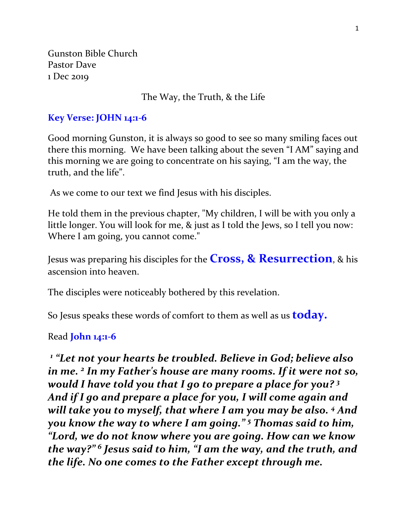Gunston Bible Church Pastor Dave 1 Dec 2019

#### The Way, the Truth, & the Life

#### **Key Verse: JOHN 14:1-6**

Good morning Gunston, it is always so good to see so many smiling faces out there this morning. We have been talking about the seven "I AM" saying and this morning we are going to concentrate on his saying, "I am the way, the truth, and the life".

As we come to our text we find Jesus with his disciples.

He told them in the previous chapter, "My children, I will be with you only a little longer. You will look for me, & just as I told the Jews, so I tell you now: Where I am going, you cannot come."

Jesus was preparing his disciples for the **Cross, & Resurrection**, & his ascension into heaven.

The disciples were noticeably bothered by this revelation.

So Jesus speaks these words of comfort to them as well as us **today.**

#### Read **John 14:1-6**

*1 "Let not your hearts be troubled. Believe in God; believe also in me. <sup>2</sup> In my Father's house are many rooms. If it were not so, would I have told you that I go to prepare a place for you? <sup>3</sup> And if I go and prepare a place for you, I will come again and will take you to myself, that where I am you may be also.* <sup>4</sup> *And you know the way to where I am going." <sup>5</sup> Thomas said to him, "Lord, we do not know where you are going. How can we know the way?" <sup>6</sup> Jesus said to him, "I am the way, and the truth, and the life. No one comes to the Father except through me.*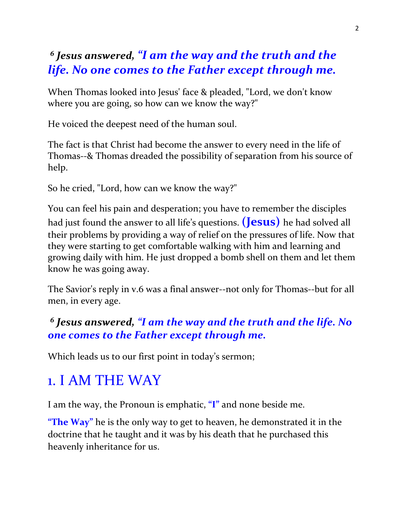## *6 Jesus answered, "I am the way and the truth and the life. No one comes to the Father except through me.*

When Thomas looked into Jesus' face & pleaded, "Lord, we don't know where you are going, so how can we know the way?"

He voiced the deepest need of the human soul.

The fact is that Christ had become the answer to every need in the life of Thomas--& Thomas dreaded the possibility of separation from his source of help.

So he cried, "Lord, how can we know the way?"

You can feel his pain and desperation; you have to remember the disciples had just found the answer to all life's questions. **(Jesus)** he had solved all their problems by providing a way of relief on the pressures of life. Now that they were starting to get comfortable walking with him and learning and growing daily with him. He just dropped a bomb shell on them and let them know he was going away.

The Savior's reply in v.6 was a final answer--not only for Thomas--but for all men, in every age.

### *6 Jesus answered, "I am the way and the truth and the life. No one comes to the Father except through me.*

Which leads us to our first point in today's sermon;

# 1. I AM THE WAY

I am the way, the Pronoun is emphatic, **"I"** and none beside me.

**"The Way"** he is the only way to get to heaven, he demonstrated it in the doctrine that he taught and it was by his death that he purchased this heavenly inheritance for us.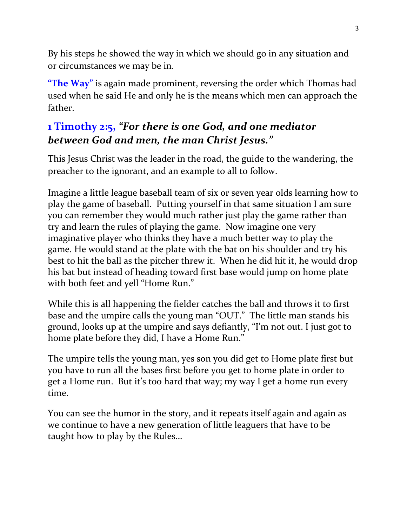By his steps he showed the way in which we should go in any situation and or circumstances we may be in.

**"The Way"** is again made prominent, reversing the order which Thomas had used when he said He and only he is the means which men can approach the father.

## **1 Timothy 2:5,** *"For there is one God, and one mediator between God and men, the man Christ Jesus."*

This Jesus Christ was the leader in the road, the guide to the wandering, the preacher to the ignorant, and an example to all to follow.

Imagine a little league baseball team of six or seven year olds learning how to play the game of baseball. Putting yourself in that same situation I am sure you can remember they would much rather just play the game rather than try and learn the rules of playing the game. Now imagine one very imaginative player who thinks they have a much better way to play the game. He would stand at the plate with the bat on his shoulder and try his best to hit the ball as the pitcher threw it. When he did hit it, he would drop his bat but instead of heading toward first base would jump on home plate with both feet and yell "Home Run."

While this is all happening the fielder catches the ball and throws it to first base and the umpire calls the young man "OUT." The little man stands his ground, looks up at the umpire and says defiantly, "I'm not out. I just got to home plate before they did, I have a Home Run."

The umpire tells the young man, yes son you did get to Home plate first but you have to run all the bases first before you get to home plate in order to get a Home run. But it's too hard that way; my way I get a home run every time.

You can see the humor in the story, and it repeats itself again and again as we continue to have a new generation of little leaguers that have to be taught how to play by the Rules…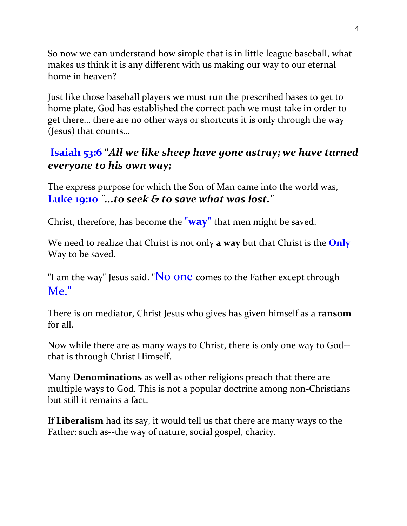So now we can understand how simple that is in little league baseball, what makes us think it is any different with us making our way to our eternal home in heaven?

Just like those baseball players we must run the prescribed bases to get to home plate, God has established the correct path we must take in order to get there… there are no other ways or shortcuts it is only through the way (Jesus) that counts…

#### **Isaiah 53:6 "***All we like sheep have gone astray; we have turned everyone to his own way;*

The express purpose for which the Son of Man came into the world was, **Luke 19:10** *"...to seek & to save what was lost."*

Christ, therefore, has become the **"way"** that men might be saved.

We need to realize that Christ is not only **a way** but that Christ is the **Only** Way to be saved.

"I am the way" Jesus said. "No one comes to the Father except through Me."

There is on mediator, Christ Jesus who gives has given himself as a **ransom** for all.

Now while there are as many ways to Christ, there is only one way to God- that is through Christ Himself.

Many **Denominations** as well as other religions preach that there are multiple ways to God. This is not a popular doctrine among non-Christians but still it remains a fact.

If **Liberalism** had its say, it would tell us that there are many ways to the Father: such as--the way of nature, social gospel, charity.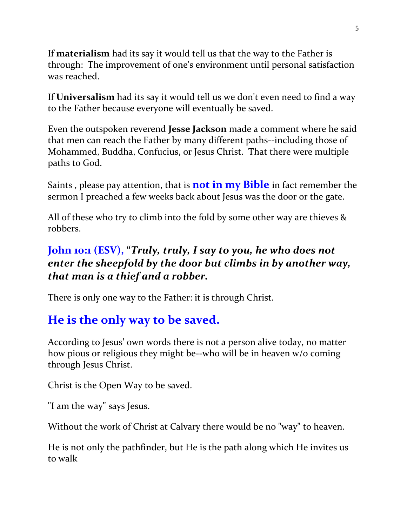If **materialism** had its say it would tell us that the way to the Father is through: The improvement of one's environment until personal satisfaction was reached.

If **Universalism** had its say it would tell us we don't even need to find a way to the Father because everyone will eventually be saved.

Even the outspoken reverend **Jesse Jackson** made a comment where he said that men can reach the Father by many different paths--including those of Mohammed, Buddha, Confucius, or Jesus Christ. That there were multiple paths to God.

Saints , please pay attention, that is **not in my Bible** in fact remember the sermon I preached a few weeks back about Jesus was the door or the gate.

All of these who try to climb into the fold by some other way are thieves & robbers.

### **John 10:1 (ESV), "***Truly, truly, I say to you, he who does not enter the sheepfold by the door but climbs in by another way, that man is a thief and a robber.*

There is only one way to the Father: it is through Christ.

## **He is the only way to be saved.**

According to Jesus' own words there is not a person alive today, no matter how pious or religious they might be--who will be in heaven w/o coming through Jesus Christ.

Christ is the Open Way to be saved.

"I am the way" says Jesus.

Without the work of Christ at Calvary there would be no "way" to heaven.

He is not only the pathfinder, but He is the path along which He invites us to walk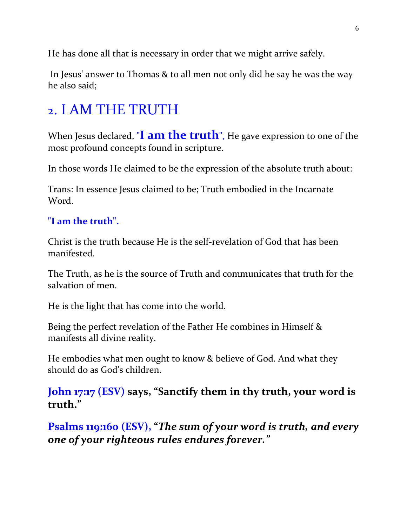He has done all that is necessary in order that we might arrive safely.

In Jesus' answer to Thomas & to all men not only did he say he was the way he also said;

# 2. I AM THE TRUTH

When Jesus declared, "**I am the truth**", He gave expression to one of the most profound concepts found in scripture.

In those words He claimed to be the expression of the absolute truth about:

Trans: In essence Jesus claimed to be; Truth embodied in the Incarnate Word.

#### **"I am the truth".**

Christ is the truth because He is the self-revelation of God that has been manifested.

The Truth, as he is the source of Truth and communicates that truth for the salvation of men.

He is the light that has come into the world.

Being the perfect revelation of the Father He combines in Himself & manifests all divine reality.

He embodies what men ought to know & believe of God. And what they should do as God's children.

**John 17:17 (ESV) says, "Sanctify them in thy truth, your word is truth."**

**Psalms 119:160 (ESV), "***The sum of your word is truth, and every one of your righteous rules endures forever."*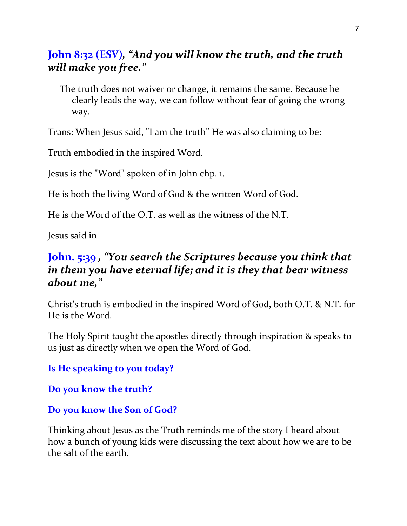#### **John 8:32 (ESV)***, "And you will know the truth, and the truth will make you free."*

The truth does not waiver or change, it remains the same. Because he clearly leads the way, we can follow without fear of going the wrong way.

Trans: When Jesus said, "I am the truth" He was also claiming to be:

Truth embodied in the inspired Word.

Jesus is the "Word" spoken of in John chp. 1.

He is both the living Word of God & the written Word of God.

He is the Word of the O.T. as well as the witness of the N.T.

Jesus said in

#### **John. 5:39** *, "You search the Scriptures because you think that in them you have eternal life; and it is they that bear witness about me,"*

Christ's truth is embodied in the inspired Word of God, both O.T. & N.T. for He is the Word.

The Holy Spirit taught the apostles directly through inspiration & speaks to us just as directly when we open the Word of God.

**Is He speaking to you today?**

**Do you know the truth?** 

#### **Do you know the Son of God?**

Thinking about Jesus as the Truth reminds me of the story I heard about how a bunch of young kids were discussing the text about how we are to be the salt of the earth.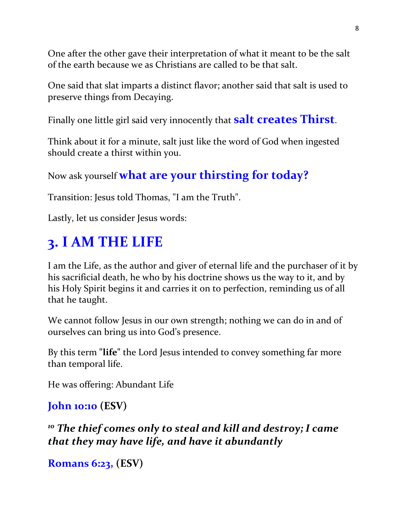One after the other gave their interpretation of what it meant to be the salt of the earth because we as Christians are called to be that salt.

One said that slat imparts a distinct flavor; another said that salt is used to preserve things from Decaying.

Finally one little girl said very innocently that **salt creates Thirst**.

Think about it for a minute, salt just like the word of God when ingested should create a thirst within you.

Now ask yourself **what are your thirsting for today?** 

Transition: Jesus told Thomas, "I am the Truth".

Lastly, let us consider Jesus words:

# **3. I AM THE LIFE**

I am the Life, as the author and giver of eternal life and the purchaser of it by his sacrificial death, he who by his doctrine shows us the way to it, and by his Holy Spirit begins it and carries it on to perfection, reminding us of all that he taught.

We cannot follow Jesus in our own strength; nothing we can do in and of ourselves can bring us into God's presence.

By this term **"life"** the Lord Jesus intended to convey something far more than temporal life.

He was offering: Abundant Life

```
John 10:10 (ESV)
```
*<sup>10</sup> The thief comes only to steal and kill and destroy; I came that they may have life, and have it abundantly*

```
Romans 6:23, (ESV)
```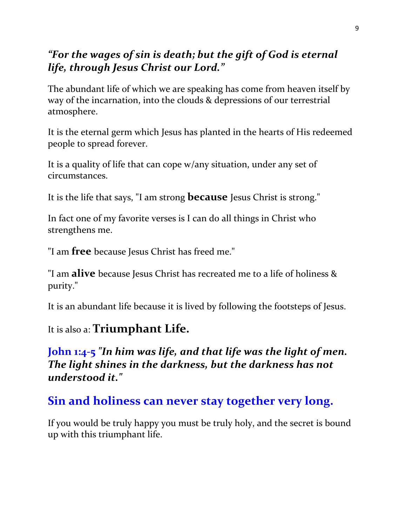### *"For the wages of sin is death; but the gift of God is eternal life, through Jesus Christ our Lord."*

The abundant life of which we are speaking has come from heaven itself by way of the incarnation, into the clouds & depressions of our terrestrial atmosphere.

It is the eternal germ which Jesus has planted in the hearts of His redeemed people to spread forever.

It is a quality of life that can cope w/any situation, under any set of circumstances.

It is the life that says, "I am strong **because** Jesus Christ is strong."

In fact one of my favorite verses is I can do all things in Christ who strengthens me.

"I am **free** because Jesus Christ has freed me."

"I am **alive** because Jesus Christ has recreated me to a life of holiness & purity."

It is an abundant life because it is lived by following the footsteps of Jesus.

### It is also a: **Triumphant Life.**

### **John 1:4-5** *"In him was life, and that life was the light of men. The light shines in the darkness, but the darkness has not understood it."*

## **Sin and holiness can never stay together very long.**

If you would be truly happy you must be truly holy, and the secret is bound up with this triumphant life.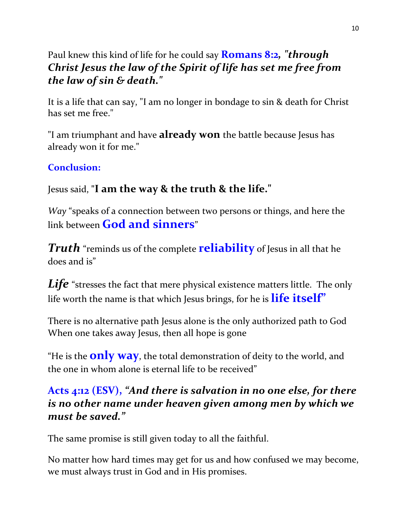Paul knew this kind of life for he could say **Romans 8:2***, "through Christ Jesus the law of the Spirit of life has set me free from the law of sin & death."*

It is a life that can say, "I am no longer in bondage to sin & death for Christ has set me free."

"I am triumphant and have **already won** the battle because Jesus has already won it for me."

#### **Conclusion:**

#### Jesus said, **"I am the way & the truth & the life."**

*Way* "speaks of a connection between two persons or things, and here the link between **God and sinners**"

*Truth* "reminds us of the complete **reliability** of Jesus in all that he does and is"

**Life** "stresses the fact that mere physical existence matters little. The only life worth the name is that which Jesus brings, for he is **life itself"**

There is no alternative path Jesus alone is the only authorized path to God When one takes away Jesus, then all hope is gone

"He is the **only way**, the total demonstration of deity to the world, and the one in whom alone is eternal life to be received"

### **Acts 4:12 (ESV),** *"And there is salvation in no one else, for there is no other name under heaven given among men by which we must be saved."*

The same promise is still given today to all the faithful.

No matter how hard times may get for us and how confused we may become, we must always trust in God and in His promises.